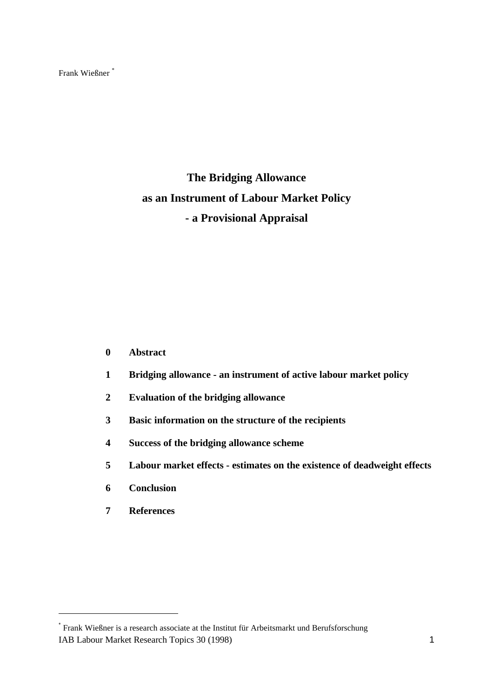Frank Wießner \*

# **The Bridging Allowance as an Instrument of Labour Market Policy - a Provisional Appraisal**

- **0 Abstract**
- **1 Bridging allowance an instrument of active labour market policy**
- **2 Evaluation of the bridging allowance**
- **3 Basic information on the structure of the recipients**
- **4 Success of the bridging allowance scheme**
- **5 Labour market effects estimates on the existence of deadweight effects**
- **6 Conclusion**
- **7 References**

IAB Labour Market Research Topics 30 (1998) 1 \* Frank Wießner is a research associate at the Institut für Arbeitsmarkt und Berufsforschung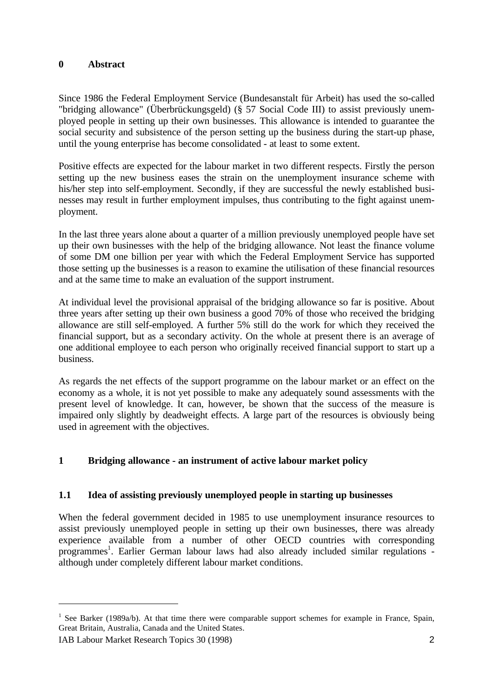#### **0 Abstract**

Since 1986 the Federal Employment Service (Bundesanstalt für Arbeit) has used the so-called "bridging allowance" (Überbrückungsgeld) (§ 57 Social Code III) to assist previously unemployed people in setting up their own businesses. This allowance is intended to guarantee the social security and subsistence of the person setting up the business during the start-up phase, until the young enterprise has become consolidated - at least to some extent.

Positive effects are expected for the labour market in two different respects. Firstly the person setting up the new business eases the strain on the unemployment insurance scheme with his/her step into self-employment. Secondly, if they are successful the newly established businesses may result in further employment impulses, thus contributing to the fight against unemployment.

In the last three years alone about a quarter of a million previously unemployed people have set up their own businesses with the help of the bridging allowance. Not least the finance volume of some DM one billion per year with which the Federal Employment Service has supported those setting up the businesses is a reason to examine the utilisation of these financial resources and at the same time to make an evaluation of the support instrument.

At individual level the provisional appraisal of the bridging allowance so far is positive. About three years after setting up their own business a good 70% of those who received the bridging allowance are still self-employed. A further 5% still do the work for which they received the financial support, but as a secondary activity. On the whole at present there is an average of one additional employee to each person who originally received financial support to start up a business.

As regards the net effects of the support programme on the labour market or an effect on the economy as a whole, it is not yet possible to make any adequately sound assessments with the present level of knowledge. It can, however, be shown that the success of the measure is impaired only slightly by deadweight effects. A large part of the resources is obviously being used in agreement with the objectives.

# **1 Bridging allowance - an instrument of active labour market policy**

# **1.1 Idea of assisting previously unemployed people in starting up businesses**

When the federal government decided in 1985 to use unemployment insurance resources to assist previously unemployed people in setting up their own businesses, there was already experience available from a number of other OECD countries with corresponding programmes 1 . Earlier German labour laws had also already included similar regulations although under completely different labour market conditions.

-

<sup>&</sup>lt;sup>1</sup> See Barker (1989a/b). At that time there were comparable support schemes for example in France, Spain, Great Britain, Australia, Canada and the United States.

IAB Labour Market Research Topics 30 (1998) 2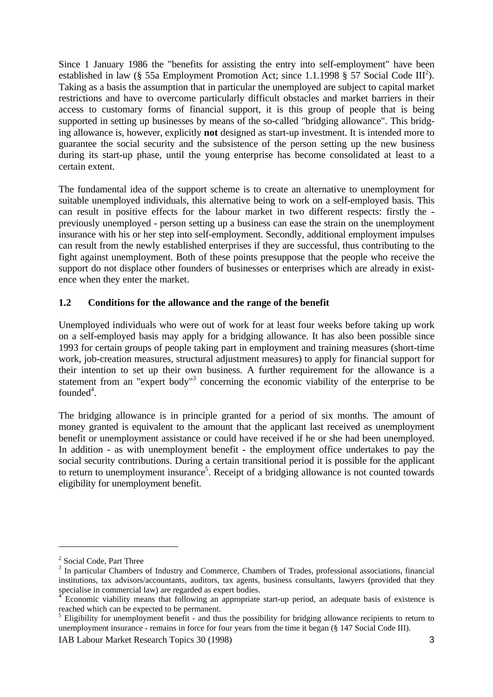Since 1 January 1986 the "benefits for assisting the entry into self-employment" have been established in law (§ 55a Employment Promotion Act; since 1.1.1998 § 57 Social Code  $III^2$ ). Taking as a basis the assumption that in particular the unemployed are subject to capital market restrictions and have to overcome particularly difficult obstacles and market barriers in their access to customary forms of financial support, it is this group of people that is being supported in setting up businesses by means of the so-called "bridging allowance". This bridging allowance is, however, explicitly **not** designed as start-up investment. It is intended more to guarantee the social security and the subsistence of the person setting up the new business during its start-up phase, until the young enterprise has become consolidated at least to a certain extent.

The fundamental idea of the support scheme is to create an alternative to unemployment for suitable unemployed individuals, this alternative being to work on a self-employed basis. This can result in positive effects for the labour market in two different respects: firstly the previously unemployed - person setting up a business can ease the strain on the unemployment insurance with his or her step into self-employment. Secondly, additional employment impulses can result from the newly established enterprises if they are successful, thus contributing to the fight against unemployment. Both of these points presuppose that the people who receive the support do not displace other founders of businesses or enterprises which are already in existence when they enter the market.

# **1.2 Conditions for the allowance and the range of the benefit**

Unemployed individuals who were out of work for at least four weeks before taking up work on a self-employed basis may apply for a bridging allowance. It has also been possible since 1993 for certain groups of people taking part in employment and training measures (short-time work, job-creation measures, structural adjustment measures) to apply for financial support for their intention to set up their own business. A further requirement for the allowance is a statement from an "expert body"<sup>3</sup> concerning the economic viability of the enterprise to be founded $4$ .

The bridging allowance is in principle granted for a period of six months. The amount of money granted is equivalent to the amount that the applicant last received as unemployment benefit or unemployment assistance or could have received if he or she had been unemployed. In addition - as with unemployment benefit - the employment office undertakes to pay the social security contributions. During a certain transitional period it is possible for the applicant to return to unemployment insurance<sup>5</sup>. Receipt of a bridging allowance is not counted towards eligibility for unemployment benefit.

<sup>&</sup>lt;sup>2</sup> Social Code, Part Three

<sup>&</sup>lt;sup>3</sup> In particular Chambers of Industry and Commerce, Chambers of Trades, professional associations, financial institutions, tax advisors/accountants, auditors, tax agents, business consultants, lawyers (provided that they specialise in commercial law) are regarded as expert bodies.<br><sup>4</sup> Escapania visibility masses that following an engagement

Economic viability means that following an appropriate start-up period, an adequate basis of existence is reached which can be expected to be permanent.

<sup>&</sup>lt;sup>5</sup> Eligibility for unemployment benefit - and thus the possibility for bridging allowance recipients to return to unemployment insurance - remains in force for four years from the time it began (§ 147 Social Code III).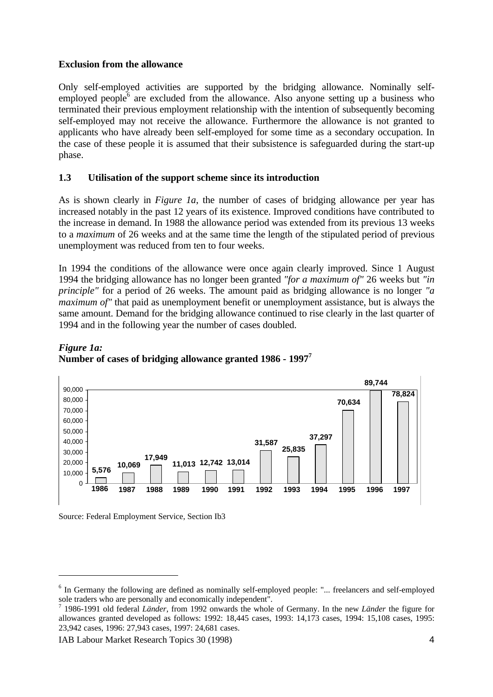### **Exclusion from the allowance**

Only self-employed activities are supported by the bridging allowance. Nominally selfemployed people<sup>6</sup> are excluded from the allowance. Also anyone setting up a business who terminated their previous employment relationship with the intention of subsequently becoming self-employed may not receive the allowance. Furthermore the allowance is not granted to applicants who have already been self-employed for some time as a secondary occupation. In the case of these people it is assumed that their subsistence is safeguarded during the start-up phase.

### **1.3 Utilisation of the support scheme since its introduction**

As is shown clearly in *Figure 1a*, the number of cases of bridging allowance per year has increased notably in the past 12 years of its existence. Improved conditions have contributed to the increase in demand. In 1988 the allowance period was extended from its previous 13 weeks to a *maximum* of 26 weeks and at the same time the length of the stipulated period of previous unemployment was reduced from ten to four weeks.

In 1994 the conditions of the allowance were once again clearly improved. Since 1 August 1994 the bridging allowance has no longer been granted *"for a maximum of"* 26 weeks but *"in principle"* for a period of 26 weeks. The amount paid as bridging allowance is no longer *"a maximum of"* that paid as unemployment benefit or unemployment assistance, but is always the same amount. Demand for the bridging allowance continued to rise clearly in the last quarter of 1994 and in the following year the number of cases doubled.



# *Figure 1a:* **Number of cases of bridging allowance granted 1986 - 1997<sup>7</sup>**

Source: Federal Employment Service, Section Ib3

<sup>&</sup>lt;sup>6</sup> In Germany the following are defined as nominally self-employed people: "... freelancers and self-employed

sole traders who are personally and economically independent". 7 1986-1991 old federal *Länder*, from 1992 onwards the whole of Germany. In the new *Länder* the figure for allowances granted developed as follows: 1992: 18,445 cases, 1993: 14,173 cases, 1994: 15,108 cases, 1995: 23,942 cases, 1996: 27,943 cases, 1997: 24,681 cases.

IAB Labour Market Research Topics 30 (1998) 4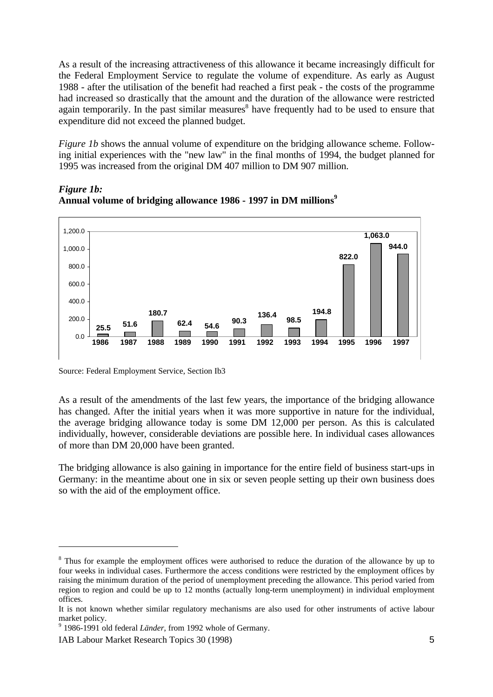As a result of the increasing attractiveness of this allowance it became increasingly difficult for the Federal Employment Service to regulate the volume of expenditure. As early as August 1988 - after the utilisation of the benefit had reached a first peak - the costs of the programme had increased so drastically that the amount and the duration of the allowance were restricted again temporarily. In the past similar measures $\delta$  have frequently had to be used to ensure that expenditure did not exceed the planned budget.

*Figure 1b* shows the annual volume of expenditure on the bridging allowance scheme. Following initial experiences with the "new law" in the final months of 1994, the budget planned for 1995 was increased from the original DM 407 million to DM 907 million.



*Figure 1b:* **Annual volume of bridging allowance 1986 - 1997 in DM millions<sup>9</sup>**

Source: Federal Employment Service, Section Ib3

As a result of the amendments of the last few years, the importance of the bridging allowance has changed. After the initial years when it was more supportive in nature for the individual, the average bridging allowance today is some DM 12,000 per person. As this is calculated individually, however, considerable deviations are possible here. In individual cases allowances of more than DM 20,000 have been granted.

The bridging allowance is also gaining in importance for the entire field of business start-ups in Germany: in the meantime about one in six or seven people setting up their own business does so with the aid of the employment office.

<sup>&</sup>lt;sup>8</sup> Thus for example the employment offices were authorised to reduce the duration of the allowance by up to four weeks in individual cases. Furthermore the access conditions were restricted by the employment offices by raising the minimum duration of the period of unemployment preceding the allowance. This period varied from region to region and could be up to 12 months (actually long-term unemployment) in individual employment offices.

It is not known whether similar regulatory mechanisms are also used for other instruments of active labour market policy.

<sup>&</sup>lt;sup>9</sup> 1986-1991 old federal *Länder*, from 1992 whole of Germany.

IAB Labour Market Research Topics 30 (1998) 5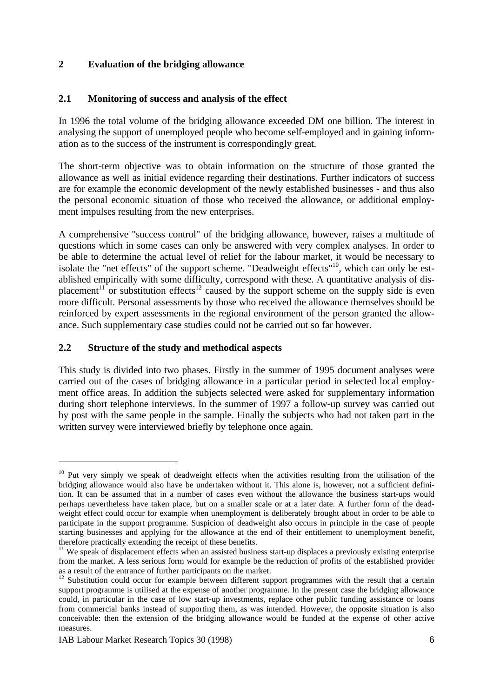# **2 Evaluation of the bridging allowance**

#### **2.1 Monitoring of success and analysis of the effect**

In 1996 the total volume of the bridging allowance exceeded DM one billion. The interest in analysing the support of unemployed people who become self-employed and in gaining information as to the success of the instrument is correspondingly great.

The short-term objective was to obtain information on the structure of those granted the allowance as well as initial evidence regarding their destinations. Further indicators of success are for example the economic development of the newly established businesses - and thus also the personal economic situation of those who received the allowance, or additional employment impulses resulting from the new enterprises.

A comprehensive "success control" of the bridging allowance, however, raises a multitude of questions which in some cases can only be answered with very complex analyses. In order to be able to determine the actual level of relief for the labour market, it would be necessary to isolate the "net effects" of the support scheme. "Deadweight effects"<sup>10</sup>, which can only be established empirically with some difficulty, correspond with these. A quantitative analysis of displacement<sup>11</sup> or substitution effects<sup>12</sup> caused by the support scheme on the supply side is even more difficult. Personal assessments by those who received the allowance themselves should be reinforced by expert assessments in the regional environment of the person granted the allowance. Such supplementary case studies could not be carried out so far however.

#### **2.2 Structure of the study and methodical aspects**

This study is divided into two phases. Firstly in the summer of 1995 document analyses were carried out of the cases of bridging allowance in a particular period in selected local employment office areas. In addition the subjects selected were asked for supplementary information during short telephone interviews. In the summer of 1997 a follow-up survey was carried out by post with the same people in the sample. Finally the subjects who had not taken part in the written survey were interviewed briefly by telephone once again.

-

<sup>&</sup>lt;sup>10</sup> Put very simply we speak of deadweight effects when the activities resulting from the utilisation of the bridging allowance would also have be undertaken without it. This alone is, however, not a sufficient definition. It can be assumed that in a number of cases even without the allowance the business start-ups would perhaps nevertheless have taken place, but on a smaller scale or at a later date. A further form of the deadweight effect could occur for example when unemployment is deliberately brought about in order to be able to participate in the support programme. Suspicion of deadweight also occurs in principle in the case of people starting businesses and applying for the allowance at the end of their entitlement to unemployment benefit, therefore practically extending the receipt of these benefits.

<sup>&</sup>lt;sup>11</sup> We speak of displacement effects when an assisted business start-up displaces a previously existing enterprise from the market. A less serious form would for example be the reduction of profits of the established provider as a result of the entrance of further participants on the market.

<sup>&</sup>lt;sup>12</sup> Substitution could occur for example between different support programmes with the result that a certain support programme is utilised at the expense of another programme. In the present case the bridging allowance could, in particular in the case of low start-up investments, replace other public funding assistance or loans from commercial banks instead of supporting them, as was intended. However, the opposite situation is also conceivable: then the extension of the bridging allowance would be funded at the expense of other active measures.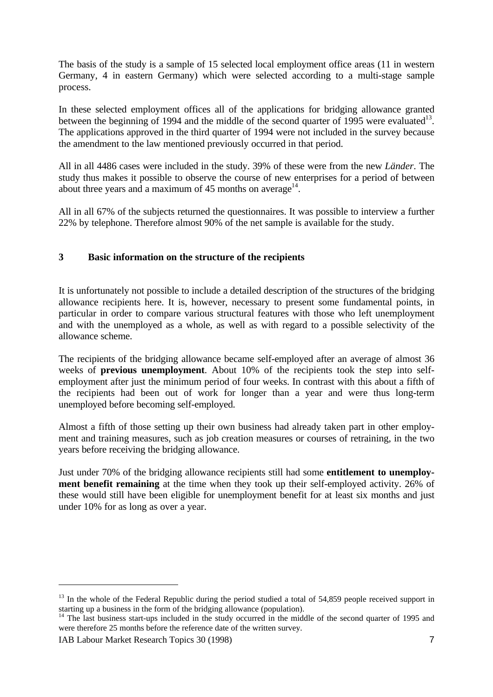The basis of the study is a sample of 15 selected local employment office areas (11 in western Germany, 4 in eastern Germany) which were selected according to a multi-stage sample process.

In these selected employment offices all of the applications for bridging allowance granted between the beginning of 1994 and the middle of the second quarter of 1995 were evaluated<sup>13</sup>. The applications approved in the third quarter of 1994 were not included in the survey because the amendment to the law mentioned previously occurred in that period.

All in all 4486 cases were included in the study. 39% of these were from the new *Länder*. The study thus makes it possible to observe the course of new enterprises for a period of between about three years and a maximum of 45 months on average $14$ .

All in all 67% of the subjects returned the questionnaires. It was possible to interview a further 22% by telephone. Therefore almost 90% of the net sample is available for the study.

# **3 Basic information on the structure of the recipients**

It is unfortunately not possible to include a detailed description of the structures of the bridging allowance recipients here. It is, however, necessary to present some fundamental points, in particular in order to compare various structural features with those who left unemployment and with the unemployed as a whole, as well as with regard to a possible selectivity of the allowance scheme.

The recipients of the bridging allowance became self-employed after an average of almost 36 weeks of **previous unemployment**. About 10% of the recipients took the step into selfemployment after just the minimum period of four weeks. In contrast with this about a fifth of the recipients had been out of work for longer than a year and were thus long-term unemployed before becoming self-employed.

Almost a fifth of those setting up their own business had already taken part in other employment and training measures, such as job creation measures or courses of retraining, in the two years before receiving the bridging allowance.

Just under 70% of the bridging allowance recipients still had some **entitlement to unemployment benefit remaining** at the time when they took up their self-employed activity. 26% of these would still have been eligible for unemployment benefit for at least six months and just under 10% for as long as over a year.

 $13$  In the whole of the Federal Republic during the period studied a total of 54,859 people received support in starting up a business in the form of the bridging allowance (population).

<sup>&</sup>lt;sup>14</sup> The last business start-ups included in the study occurred in the middle of the second quarter of 1995 and were therefore 25 months before the reference date of the written survey.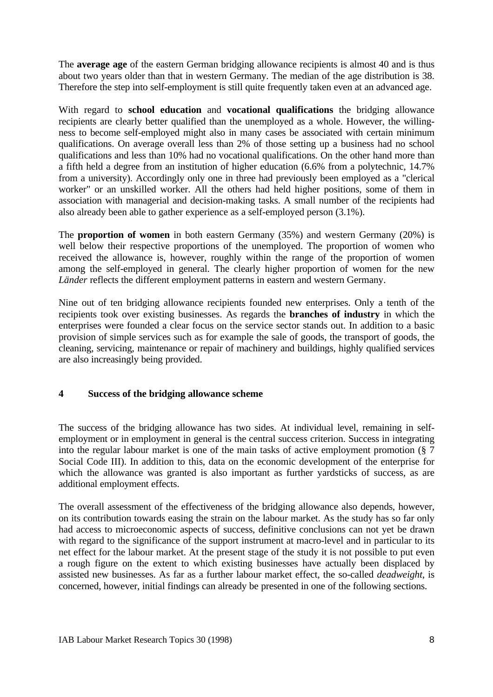The **average age** of the eastern German bridging allowance recipients is almost 40 and is thus about two years older than that in western Germany. The median of the age distribution is 38. Therefore the step into self-employment is still quite frequently taken even at an advanced age.

With regard to **school education** and **vocational qualifications** the bridging allowance recipients are clearly better qualified than the unemployed as a whole. However, the willingness to become self-employed might also in many cases be associated with certain minimum qualifications. On average overall less than 2% of those setting up a business had no school qualifications and less than 10% had no vocational qualifications. On the other hand more than a fifth held a degree from an institution of higher education (6.6% from a polytechnic, 14.7% from a university). Accordingly only one in three had previously been employed as a "clerical worker" or an unskilled worker. All the others had held higher positions, some of them in association with managerial and decision-making tasks. A small number of the recipients had also already been able to gather experience as a self-employed person (3.1%).

The **proportion of women** in both eastern Germany (35%) and western Germany (20%) is well below their respective proportions of the unemployed. The proportion of women who received the allowance is, however, roughly within the range of the proportion of women among the self-employed in general. The clearly higher proportion of women for the new *Länder* reflects the different employment patterns in eastern and western Germany.

Nine out of ten bridging allowance recipients founded new enterprises. Only a tenth of the recipients took over existing businesses. As regards the **branches of industry** in which the enterprises were founded a clear focus on the service sector stands out. In addition to a basic provision of simple services such as for example the sale of goods, the transport of goods, the cleaning, servicing, maintenance or repair of machinery and buildings, highly qualified services are also increasingly being provided.

# **4 Success of the bridging allowance scheme**

The success of the bridging allowance has two sides. At individual level, remaining in selfemployment or in employment in general is the central success criterion. Success in integrating into the regular labour market is one of the main tasks of active employment promotion (§ 7 Social Code III). In addition to this, data on the economic development of the enterprise for which the allowance was granted is also important as further yardsticks of success, as are additional employment effects.

The overall assessment of the effectiveness of the bridging allowance also depends, however, on its contribution towards easing the strain on the labour market. As the study has so far only had access to microeconomic aspects of success, definitive conclusions can not yet be drawn with regard to the significance of the support instrument at macro-level and in particular to its net effect for the labour market. At the present stage of the study it is not possible to put even a rough figure on the extent to which existing businesses have actually been displaced by assisted new businesses. As far as a further labour market effect, the so-called *deadweight*, is concerned, however, initial findings can already be presented in one of the following sections.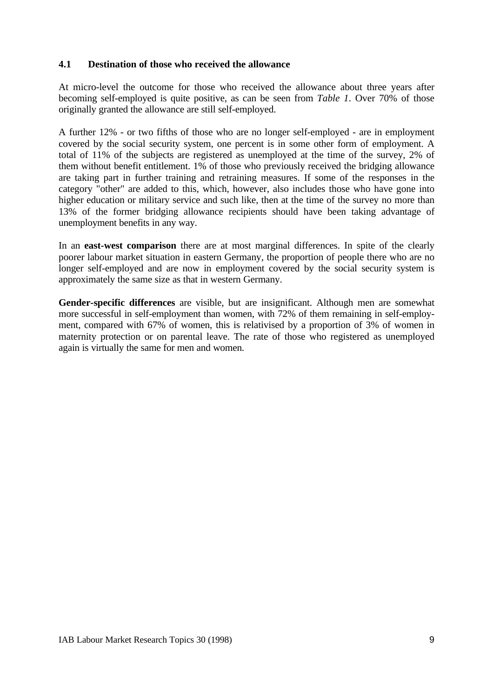### **4.1 Destination of those who received the allowance**

At micro-level the outcome for those who received the allowance about three years after becoming self-employed is quite positive, as can be seen from *Table 1*. Over 70% of those originally granted the allowance are still self-employed.

A further 12% - or two fifths of those who are no longer self-employed - are in employment covered by the social security system, one percent is in some other form of employment. A total of 11% of the subjects are registered as unemployed at the time of the survey, 2% of them without benefit entitlement. 1% of those who previously received the bridging allowance are taking part in further training and retraining measures. If some of the responses in the category "other" are added to this, which, however, also includes those who have gone into higher education or military service and such like, then at the time of the survey no more than 13% of the former bridging allowance recipients should have been taking advantage of unemployment benefits in any way.

In an **east-west comparison** there are at most marginal differences. In spite of the clearly poorer labour market situation in eastern Germany, the proportion of people there who are no longer self-employed and are now in employment covered by the social security system is approximately the same size as that in western Germany.

**Gender-specific differences** are visible, but are insignificant. Although men are somewhat more successful in self-employment than women, with 72% of them remaining in self-employment, compared with 67% of women, this is relativised by a proportion of 3% of women in maternity protection or on parental leave. The rate of those who registered as unemployed again is virtually the same for men and women.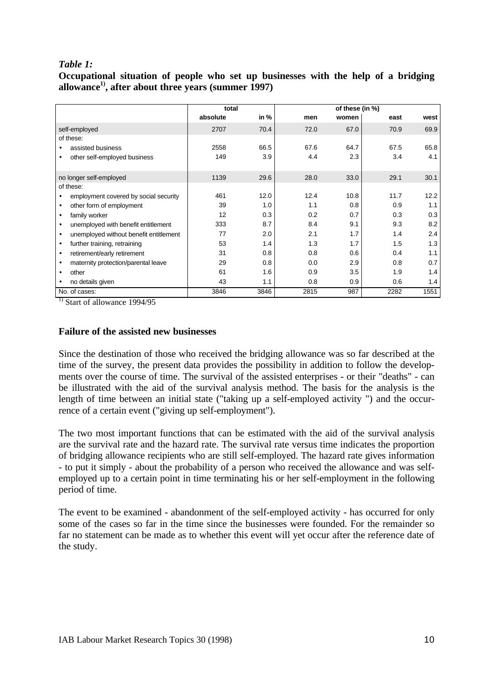# *Table 1:*

**Occupational situation of people who set up businesses with the help of a bridging allowance1), after about three years (summer 1997)**

|                                                     |          | total |      | of these (in %) |      |      |
|-----------------------------------------------------|----------|-------|------|-----------------|------|------|
|                                                     | absolute | in %  | men  | women           | east | west |
| self-employed                                       | 2707     | 70.4  | 72.0 | 67.0            | 70.9 | 69.9 |
| of these:                                           |          |       |      |                 |      |      |
| assisted business                                   | 2558     | 66.5  | 67.6 | 64.7            | 67.5 | 65.8 |
| other self-employed business                        | 149      | 3.9   | 4.4  | 2.3             | 3.4  | 4.1  |
| no longer self-employed                             | 1139     | 29.6  | 28.0 | 33.0            | 29.1 | 30.1 |
| of these:                                           |          |       |      |                 |      |      |
| employment covered by social security<br>$\bullet$  | 461      | 12.0  | 12.4 | 10.8            | 11.7 | 12.2 |
| other form of employment<br>$\bullet$               | 39       | 1.0   | 1.1  | 0.8             | 0.9  | 1.1  |
| family worker<br>$\bullet$                          | 12       | 0.3   | 0.2  | 0.7             | 0.3  | 0.3  |
| unemployed with benefit entitlement<br>$\bullet$    | 333      | 8.7   | 8.4  | 9.1             | 9.3  | 8.2  |
| unemployed without benefit entitlement<br>$\bullet$ | 77       | 2.0   | 2.1  | 1.7             | 1.4  | 2.4  |
| further training, retraining<br>$\bullet$           | 53       | 1.4   | 1.3  | 1.7             | 1.5  | 1.3  |
| retirement/early retirement<br>$\bullet$            | 31       | 0.8   | 0.8  | 0.6             | 0.4  | 1.1  |
| maternity protection/parental leave<br>$\bullet$    | 29       | 0.8   | 0.0  | 2.9             | 0.8  | 0.7  |
| other<br>٠                                          | 61       | 1.6   | 0.9  | 3.5             | 1.9  | 1.4  |
| no details given<br>$\bullet$                       | 43       | 1.1   | 0.8  | 0.9             | 0.6  | 1.4  |
| No. of cases:                                       | 3846     | 3846  | 2815 | 987             | 2282 | 1551 |

 $\frac{1}{1}$  Start of allowance 1994/95

#### **Failure of the assisted new businesses**

Since the destination of those who received the bridging allowance was so far described at the time of the survey, the present data provides the possibility in addition to follow the developments over the course of time. The survival of the assisted enterprises - or their "deaths" - can be illustrated with the aid of the survival analysis method. The basis for the analysis is the length of time between an initial state ("taking up a self-employed activity ") and the occurrence of a certain event ("giving up self-employment").

The two most important functions that can be estimated with the aid of the survival analysis are the survival rate and the hazard rate. The survival rate versus time indicates the proportion of bridging allowance recipients who are still self-employed. The hazard rate gives information - to put it simply - about the probability of a person who received the allowance and was selfemployed up to a certain point in time terminating his or her self-employment in the following period of time.

The event to be examined - abandonment of the self-employed activity - has occurred for only some of the cases so far in the time since the businesses were founded. For the remainder so far no statement can be made as to whether this event will yet occur after the reference date of the study.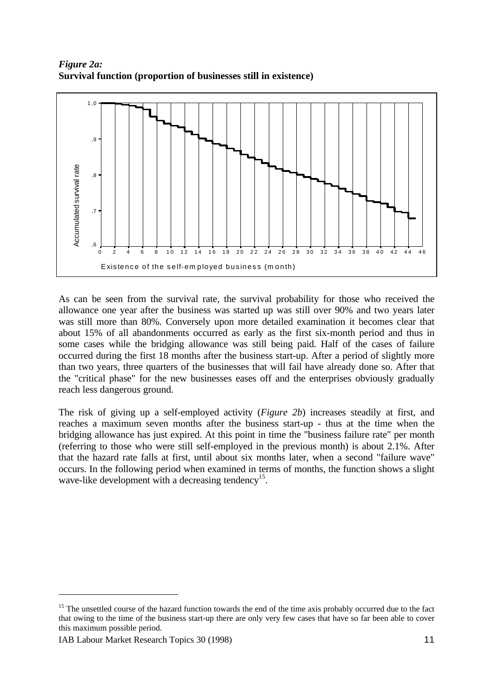*Figure 2a:* **Survival function (proportion of businesses still in existence)**



As can be seen from the survival rate, the survival probability for those who received the allowance one year after the business was started up was still over 90% and two years later was still more than 80%. Conversely upon more detailed examination it becomes clear that about 15% of all abandonments occurred as early as the first six-month period and thus in some cases while the bridging allowance was still being paid. Half of the cases of failure occurred during the first 18 months after the business start-up. After a period of slightly more than two years, three quarters of the businesses that will fail have already done so. After that the "critical phase" for the new businesses eases off and the enterprises obviously gradually reach less dangerous ground.

The risk of giving up a self-employed activity (*Figure 2b*) increases steadily at first, and reaches a maximum seven months after the business start-up - thus at the time when the bridging allowance has just expired. At this point in time the "business failure rate" per month (referring to those who were still self-employed in the previous month) is about 2.1%. After that the hazard rate falls at first, until about six months later, when a second "failure wave" occurs. In the following period when examined in terms of months, the function shows a slight wave-like development with a decreasing tendency<sup>15</sup>.

 $\overline{a}$ 

 $15$  The unsettled course of the hazard function towards the end of the time axis probably occurred due to the fact that owing to the time of the business start-up there are only very few cases that have so far been able to cover this maximum possible period.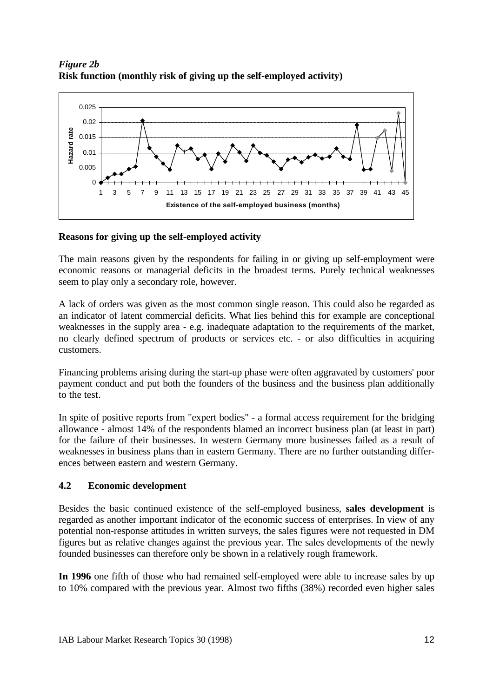*Figure 2b* **Risk function (monthly risk of giving up the self-employed activity)**



# **Reasons for giving up the self-employed activity**

The main reasons given by the respondents for failing in or giving up self-employment were economic reasons or managerial deficits in the broadest terms. Purely technical weaknesses seem to play only a secondary role, however.

A lack of orders was given as the most common single reason. This could also be regarded as an indicator of latent commercial deficits. What lies behind this for example are conceptional weaknesses in the supply area - e.g. inadequate adaptation to the requirements of the market, no clearly defined spectrum of products or services etc. - or also difficulties in acquiring customers.

Financing problems arising during the start-up phase were often aggravated by customers' poor payment conduct and put both the founders of the business and the business plan additionally to the test.

In spite of positive reports from "expert bodies" - a formal access requirement for the bridging allowance - almost 14% of the respondents blamed an incorrect business plan (at least in part) for the failure of their businesses. In western Germany more businesses failed as a result of weaknesses in business plans than in eastern Germany. There are no further outstanding differences between eastern and western Germany.

# **4.2 Economic development**

Besides the basic continued existence of the self-employed business, **sales development** is regarded as another important indicator of the economic success of enterprises. In view of any potential non-response attitudes in written surveys, the sales figures were not requested in DM figures but as relative changes against the previous year. The sales developments of the newly founded businesses can therefore only be shown in a relatively rough framework.

**In 1996** one fifth of those who had remained self-employed were able to increase sales by up to 10% compared with the previous year. Almost two fifths (38%) recorded even higher sales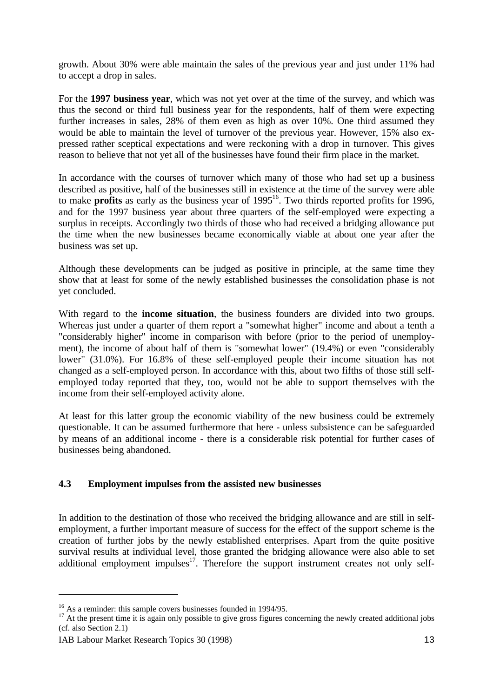growth. About 30% were able maintain the sales of the previous year and just under 11% had to accept a drop in sales.

For the **1997 business year**, which was not yet over at the time of the survey, and which was thus the second or third full business year for the respondents, half of them were expecting further increases in sales, 28% of them even as high as over 10%. One third assumed they would be able to maintain the level of turnover of the previous year. However, 15% also expressed rather sceptical expectations and were reckoning with a drop in turnover. This gives reason to believe that not yet all of the businesses have found their firm place in the market.

In accordance with the courses of turnover which many of those who had set up a business described as positive, half of the businesses still in existence at the time of the survey were able to make **profits** as early as the business year of 1995<sup>16</sup>. Two thirds reported profits for 1996, and for the 1997 business year about three quarters of the self-employed were expecting a surplus in receipts. Accordingly two thirds of those who had received a bridging allowance put the time when the new businesses became economically viable at about one year after the business was set up.

Although these developments can be judged as positive in principle, at the same time they show that at least for some of the newly established businesses the consolidation phase is not yet concluded.

With regard to the **income situation**, the business founders are divided into two groups. Whereas just under a quarter of them report a "somewhat higher" income and about a tenth a "considerably higher" income in comparison with before (prior to the period of unemployment), the income of about half of them is "somewhat lower" (19.4%) or even "considerably lower" (31.0%). For 16.8% of these self-employed people their income situation has not changed as a self-employed person. In accordance with this, about two fifths of those still selfemployed today reported that they, too, would not be able to support themselves with the income from their self-employed activity alone.

At least for this latter group the economic viability of the new business could be extremely questionable. It can be assumed furthermore that here - unless subsistence can be safeguarded by means of an additional income - there is a considerable risk potential for further cases of businesses being abandoned.

# **4.3 Employment impulses from the assisted new businesses**

In addition to the destination of those who received the bridging allowance and are still in selfemployment, a further important measure of success for the effect of the support scheme is the creation of further jobs by the newly established enterprises. Apart from the quite positive survival results at individual level, those granted the bridging allowance were also able to set additional employment impulses<sup>17</sup>. Therefore the support instrument creates not only self-

 $\overline{a}$ 

<sup>&</sup>lt;sup>16</sup> As a reminder: this sample covers businesses founded in 1994/95.

 $17$  At the present time it is again only possible to give gross figures concerning the newly created additional jobs (cf. also Section 2.1)

IAB Labour Market Research Topics 30 (1998) 13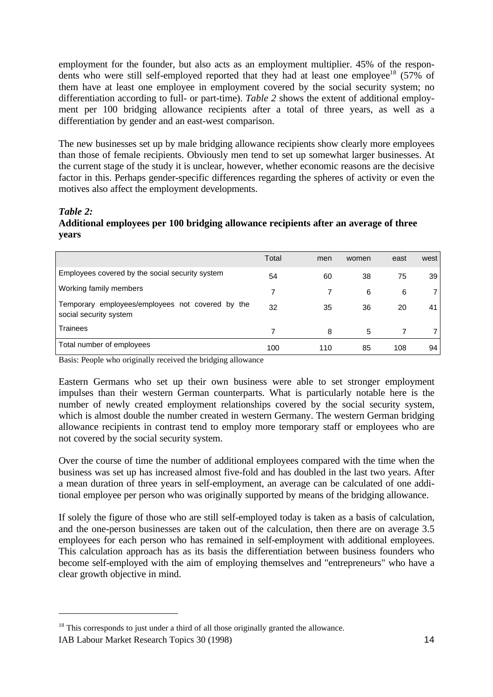employment for the founder, but also acts as an employment multiplier. 45% of the respondents who were still self-employed reported that they had at least one employee<sup>18</sup> (57% of them have at least one employee in employment covered by the social security system; no differentiation according to full- or part-time). *Table 2* shows the extent of additional employment per 100 bridging allowance recipients after a total of three years, as well as a differentiation by gender and an east-west comparison.

The new businesses set up by male bridging allowance recipients show clearly more employees than those of female recipients. Obviously men tend to set up somewhat larger businesses. At the current stage of the study it is unclear, however, whether economic reasons are the decisive factor in this. Perhaps gender-specific differences regarding the spheres of activity or even the motives also affect the employment developments.

#### *Table 2:*

# **Additional employees per 100 bridging allowance recipients after an average of three years**

|                                                                            | Total | men | women | east | west |
|----------------------------------------------------------------------------|-------|-----|-------|------|------|
| Employees covered by the social security system                            | 54    | 60  | 38    | 75   | 39   |
| Working family members                                                     | 7     |     | 6     | 6    |      |
| Temporary employees/employees not covered by the<br>social security system | 32    | 35  | 36    | 20   | 41   |
| Trainees                                                                   |       | 8   | 5     |      |      |
| Total number of employees                                                  | 100   | 110 | 85    | 108  | 94   |

Basis: People who originally received the bridging allowance

Eastern Germans who set up their own business were able to set stronger employment impulses than their western German counterparts. What is particularly notable here is the number of newly created employment relationships covered by the social security system, which is almost double the number created in western Germany. The western German bridging allowance recipients in contrast tend to employ more temporary staff or employees who are not covered by the social security system.

Over the course of time the number of additional employees compared with the time when the business was set up has increased almost five-fold and has doubled in the last two years. After a mean duration of three years in self-employment, an average can be calculated of one additional employee per person who was originally supported by means of the bridging allowance.

If solely the figure of those who are still self-employed today is taken as a basis of calculation, and the one-person businesses are taken out of the calculation, then there are on average 3.5 employees for each person who has remained in self-employment with additional employees. This calculation approach has as its basis the differentiation between business founders who become self-employed with the aim of employing themselves and "entrepreneurs" who have a clear growth objective in mind.

IAB Labour Market Research Topics 30 (1998) 14 <sup>18</sup> This corresponds to just under a third of all those originally granted the allowance.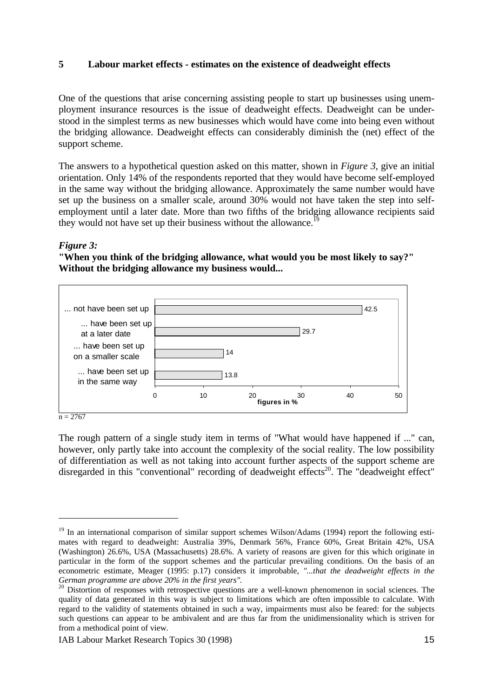# **5 Labour market effects - estimates on the existence of deadweight effects**

One of the questions that arise concerning assisting people to start up businesses using unemployment insurance resources is the issue of deadweight effects. Deadweight can be understood in the simplest terms as new businesses which would have come into being even without the bridging allowance. Deadweight effects can considerably diminish the (net) effect of the support scheme.

The answers to a hypothetical question asked on this matter, shown in *Figure 3*, give an initial orientation. Only 14% of the respondents reported that they would have become self-employed in the same way without the bridging allowance. Approximately the same number would have set up the business on a smaller scale, around 30% would not have taken the step into selfemployment until a later date. More than two fifths of the bridging allowance recipients said they would not have set up their business without the allowance.<sup>19</sup>

#### *Figure 3:*

**"When you think of the bridging allowance, what would you be most likely to say?" Without the bridging allowance my business would...**



 $n = 2767$ 

The rough pattern of a single study item in terms of "What would have happened if ..." can, however, only partly take into account the complexity of the social reality. The low possibility of differentiation as well as not taking into account further aspects of the support scheme are disregarded in this "conventional" recording of deadweight effects<sup>20</sup>. The "deadweight effect"

<sup>&</sup>lt;sup>19</sup> In an international comparison of similar support schemes Wilson/Adams (1994) report the following estimates with regard to deadweight: Australia 39%, Denmark 56%, France 60%, Great Britain 42%, USA (Washington) 26.6%, USA (Massachusetts) 28.6%. A variety of reasons are given for this which originate in particular in the form of the support schemes and the particular prevailing conditions. On the basis of an econometric estimate, Meager (1995: p.17) considers it improbable, *"...that the deadweight effects in the German programme are above 20% in the first years".*

<sup>&</sup>lt;sup>20</sup> Distortion of responses with retrospective questions are a well-known phenomenon in social sciences. The quality of data generated in this way is subject to limitations which are often impossible to calculate. With regard to the validity of statements obtained in such a way, impairments must also be feared: for the subjects such questions can appear to be ambivalent and are thus far from the unidimensionality which is striven for from a methodical point of view.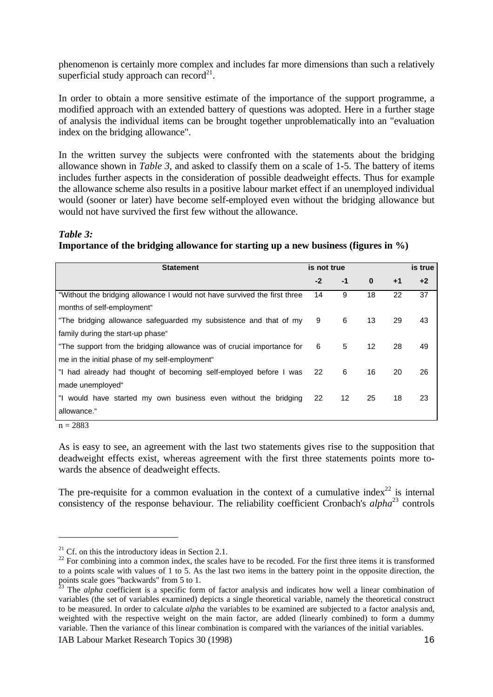phenomenon is certainly more complex and includes far more dimensions than such a relatively superficial study approach can record $2<sup>1</sup>$ .

In order to obtain a more sensitive estimate of the importance of the support programme, a modified approach with an extended battery of questions was adopted. Here in a further stage of analysis the individual items can be brought together unproblematically into an "evaluation index on the bridging allowance".

In the written survey the subjects were confronted with the statements about the bridging allowance shown in *Table 3*, and asked to classify them on a scale of 1-5. The battery of items includes further aspects in the consideration of possible deadweight effects. Thus for example the allowance scheme also results in a positive labour market effect if an unemployed individual would (sooner or later) have become self-employed even without the bridging allowance but would not have survived the first few without the allowance.

#### *Table 3:*

**Importance of the bridging allowance for starting up a new business (figures in %)**

| <b>Statement</b>                                                          | is not true |                   |                   | is true |      |
|---------------------------------------------------------------------------|-------------|-------------------|-------------------|---------|------|
|                                                                           | $-2$        | -1                | $\bf{0}$          | $+1$    | $+2$ |
| "Without the bridging allowance I would not have survived the first three | 14          | 9                 | 18                | 22      | 37   |
| months of self-employment"                                                |             |                   |                   |         |      |
| "The bridging allowance safeguarded my subsistence and that of my         | 9           | 6                 | 13                | 29      | 43   |
| family during the start-up phase"                                         |             |                   |                   |         |      |
| "The support from the bridging allowance was of crucial importance for    | 6           | 5                 | $12 \overline{ }$ | 28      | 49   |
| me in the initial phase of my self-employment"                            |             |                   |                   |         |      |
| "I had already had thought of becoming self-employed before I was         | 22          | 6                 | 16                | 20      | 26   |
| made unemployed"                                                          |             |                   |                   |         |      |
| "I would have started my own business even without the bridging           | 22          | $12 \overline{ }$ | 25                | 18      | 23   |
| allowance."                                                               |             |                   |                   |         |      |

 $n = 2883$ 

As is easy to see, an agreement with the last two statements gives rise to the supposition that deadweight effects exist, whereas agreement with the first three statements points more towards the absence of deadweight effects.

The pre-requisite for a common evaluation in the context of a cumulative index<sup>22</sup> is internal consistency of the response behaviour. The reliability coefficient Cronbach's *alpha*<sup>23</sup> controls

<sup>&</sup>lt;sup>21</sup> Cf. on this the introductory ideas in Section 2.1.

 $22$  For combining into a common index, the scales have to be recoded. For the first three items it is transformed to a points scale with values of 1 to 5. As the last two items in the battery point in the opposite direction, the points scale goes "backwards" from 5 to 1.

<sup>&</sup>lt;sup>23</sup> The *alpha* coefficient is a specific form of factor analysis and indicates how well a linear combination of variables (the set of variables examined) depicts a single theoretical variable, namely the theoretical construct to be measured. In order to calculate *alpha* the variables to be examined are subjected to a factor analysis and, weighted with the respective weight on the main factor, are added (linearly combined) to form a dummy variable. Then the variance of this linear combination is compared with the variances of the initial variables.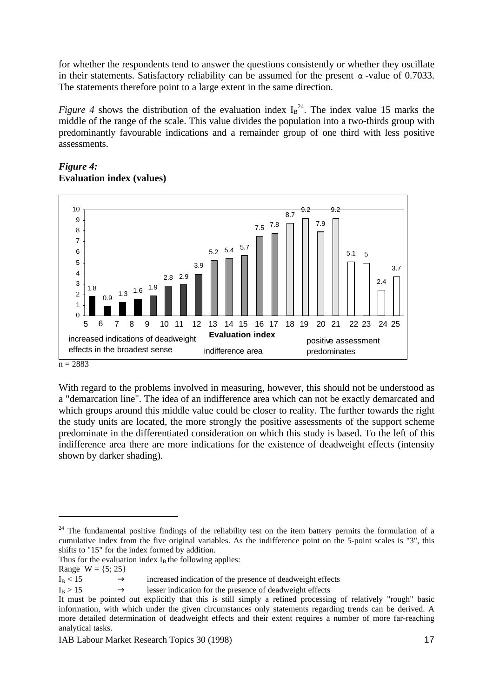for whether the respondents tend to answer the questions consistently or whether they oscillate in their statements. Satisfactory reliability can be assumed for the present *a* -value of 0.7033. The statements therefore point to a large extent in the same direction.

*Figure 4* shows the distribution of the evaluation index  $I_B^{24}$ . The index value 15 marks the middle of the range of the scale. This value divides the population into a two-thirds group with predominantly favourable indications and a remainder group of one third with less positive assessments.



# *Figure 4:* **Evaluation index (values)**

With regard to the problems involved in measuring, however, this should not be understood as a "demarcation line". The idea of an indifference area which can not be exactly demarcated and which groups around this middle value could be closer to reality. The further towards the right the study units are located, the more strongly the positive assessments of the support scheme predominate in the differentiated consideration on which this study is based. To the left of this indifference area there are more indications for the existence of deadweight effects (intensity shown by darker shading).

Thus for the evaluation index  $I_B$  the following applies:

 $\overline{a}$ 

 $n = 2883$ 

<sup>&</sup>lt;sup>24</sup> The fundamental positive findings of the reliability test on the item battery permits the formulation of a cumulative index from the five original variables. As the indifference point on the 5-point scales is "3", this shifts to "15" for the index formed by addition.

Range  $W = \{5, 25\}$ 

 $I_B < 15$   $\rightarrow$  increased indication of the presence of deadweight effects

 $I_B > 15$   $\rightarrow$  lesser indication for the presence of deadweight effects

It must be pointed out explicitly that this is still simply a refined processing of relatively "rough" basic information, with which under the given circumstances only statements regarding trends can be derived. A more detailed determination of deadweight effects and their extent requires a number of more far-reaching analytical tasks.

IAB Labour Market Research Topics 30 (1998) 17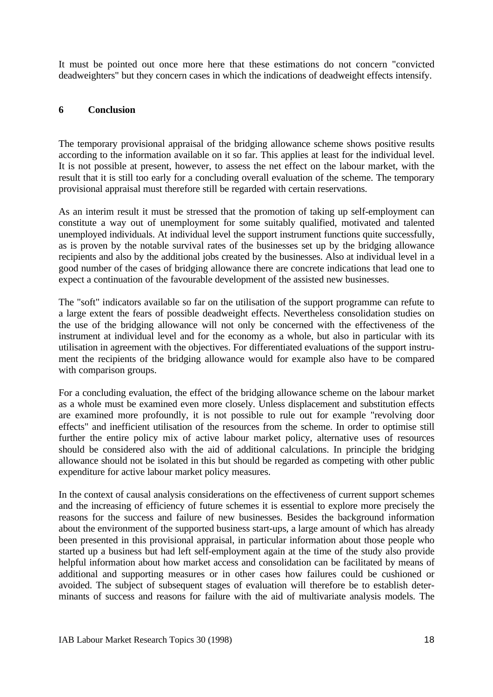It must be pointed out once more here that these estimations do not concern "convicted deadweighters" but they concern cases in which the indications of deadweight effects intensify.

#### **6 Conclusion**

The temporary provisional appraisal of the bridging allowance scheme shows positive results according to the information available on it so far. This applies at least for the individual level. It is not possible at present, however, to assess the net effect on the labour market, with the result that it is still too early for a concluding overall evaluation of the scheme. The temporary provisional appraisal must therefore still be regarded with certain reservations.

As an interim result it must be stressed that the promotion of taking up self-employment can constitute a way out of unemployment for some suitably qualified, motivated and talented unemployed individuals. At individual level the support instrument functions quite successfully, as is proven by the notable survival rates of the businesses set up by the bridging allowance recipients and also by the additional jobs created by the businesses. Also at individual level in a good number of the cases of bridging allowance there are concrete indications that lead one to expect a continuation of the favourable development of the assisted new businesses.

The "soft" indicators available so far on the utilisation of the support programme can refute to a large extent the fears of possible deadweight effects. Nevertheless consolidation studies on the use of the bridging allowance will not only be concerned with the effectiveness of the instrument at individual level and for the economy as a whole, but also in particular with its utilisation in agreement with the objectives. For differentiated evaluations of the support instrument the recipients of the bridging allowance would for example also have to be compared with comparison groups.

For a concluding evaluation, the effect of the bridging allowance scheme on the labour market as a whole must be examined even more closely. Unless displacement and substitution effects are examined more profoundly, it is not possible to rule out for example "revolving door effects" and inefficient utilisation of the resources from the scheme. In order to optimise still further the entire policy mix of active labour market policy, alternative uses of resources should be considered also with the aid of additional calculations. In principle the bridging allowance should not be isolated in this but should be regarded as competing with other public expenditure for active labour market policy measures.

In the context of causal analysis considerations on the effectiveness of current support schemes and the increasing of efficiency of future schemes it is essential to explore more precisely the reasons for the success and failure of new businesses. Besides the background information about the environment of the supported business start-ups, a large amount of which has already been presented in this provisional appraisal, in particular information about those people who started up a business but had left self-employment again at the time of the study also provide helpful information about how market access and consolidation can be facilitated by means of additional and supporting measures or in other cases how failures could be cushioned or avoided. The subject of subsequent stages of evaluation will therefore be to establish determinants of success and reasons for failure with the aid of multivariate analysis models. The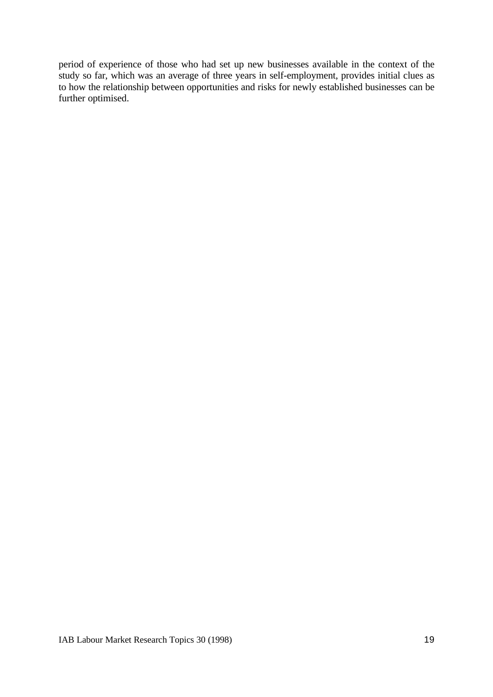period of experience of those who had set up new businesses available in the context of the study so far, which was an average of three years in self-employment, provides initial clues as to how the relationship between opportunities and risks for newly established businesses can be further optimised.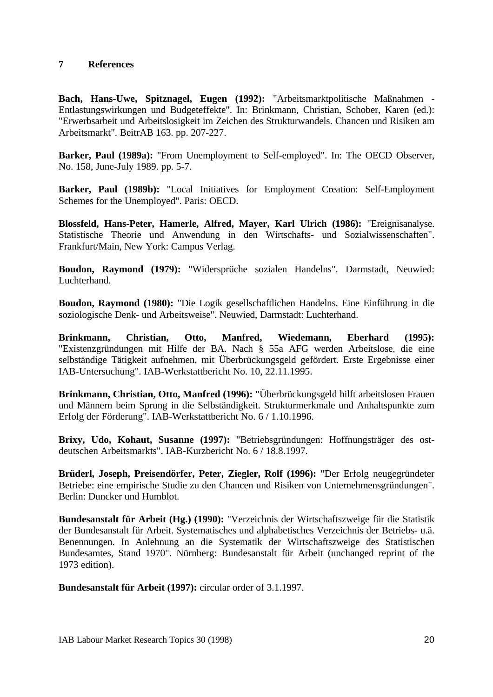#### **7 References**

**Bach, Hans-Uwe, Spitznagel, Eugen (1992):** "Arbeitsmarktpolitische Maßnahmen - Entlastungswirkungen und Budgeteffekte". In: Brinkmann, Christian, Schober, Karen (ed.): "Erwerbsarbeit und Arbeitslosigkeit im Zeichen des Strukturwandels. Chancen und Risiken am Arbeitsmarkt". BeitrAB 163. pp. 207-227.

**Barker, Paul (1989a):** "From Unemployment to Self-employed". In: The OECD Observer, No. 158, June-July 1989. pp. 5-7.

**Barker, Paul (1989b):** "Local Initiatives for Employment Creation: Self-Employment Schemes for the Unemployed". Paris: OECD.

**Blossfeld, Hans-Peter, Hamerle, Alfred, Mayer, Karl Ulrich (1986):** "Ereignisanalyse. Statistische Theorie und Anwendung in den Wirtschafts- und Sozialwissenschaften". Frankfurt/Main, New York: Campus Verlag.

**Boudon, Raymond (1979):** "Widersprüche sozialen Handelns". Darmstadt, Neuwied: Luchterhand.

**Boudon, Raymond (1980):** "Die Logik gesellschaftlichen Handelns. Eine Einführung in die soziologische Denk- und Arbeitsweise". Neuwied, Darmstadt: Luchterhand.

**Brinkmann, Christian, Otto, Manfred, Wiedemann, Eberhard (1995):** "Existenzgründungen mit Hilfe der BA. Nach § 55a AFG werden Arbeitslose, die eine selbständige Tätigkeit aufnehmen, mit Überbrückungsgeld gefördert. Erste Ergebnisse einer IAB-Untersuchung". IAB-Werkstattbericht No. 10, 22.11.1995.

**Brinkmann, Christian, Otto, Manfred (1996):** "Überbrückungsgeld hilft arbeitslosen Frauen und Männern beim Sprung in die Selbständigkeit. Strukturmerkmale und Anhaltspunkte zum Erfolg der Förderung". IAB-Werkstattbericht No. 6 / 1.10.1996.

**Brixy, Udo, Kohaut, Susanne (1997):** "Betriebsgründungen: Hoffnungsträger des ostdeutschen Arbeitsmarkts". IAB-Kurzbericht No. 6 / 18.8.1997.

**Brüderl, Joseph, Preisendörfer, Peter, Ziegler, Rolf (1996):** "Der Erfolg neugegründeter Betriebe: eine empirische Studie zu den Chancen und Risiken von Unternehmensgründungen". Berlin: Duncker und Humblot.

**Bundesanstalt für Arbeit (Hg.) (1990):** "Verzeichnis der Wirtschaftszweige für die Statistik der Bundesanstalt für Arbeit. Systematisches und alphabetisches Verzeichnis der Betriebs- u.ä. Benennungen. In Anlehnung an die Systematik der Wirtschaftszweige des Statistischen Bundesamtes, Stand 1970". Nürnberg: Bundesanstalt für Arbeit (unchanged reprint of the 1973 edition).

**Bundesanstalt für Arbeit (1997):** circular order of 3.1.1997.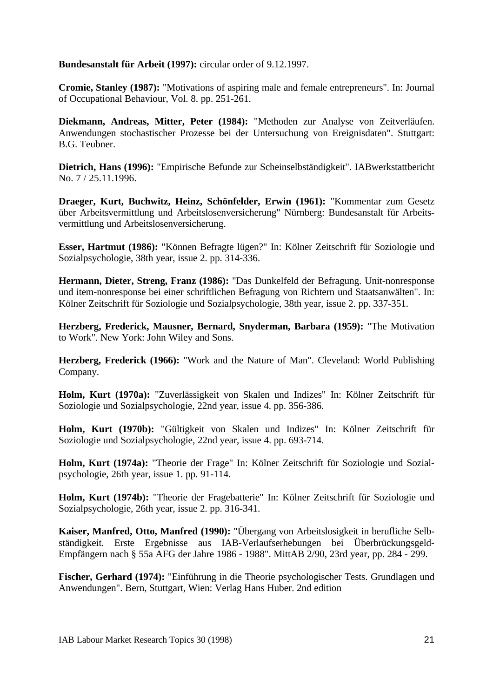**Bundesanstalt für Arbeit (1997):** circular order of 9.12.1997.

**Cromie, Stanley (1987):** "Motivations of aspiring male and female entrepreneurs". In: Journal of Occupational Behaviour, Vol. 8. pp. 251-261.

**Diekmann, Andreas, Mitter, Peter (1984):** "Methoden zur Analyse von Zeitverläufen. Anwendungen stochastischer Prozesse bei der Untersuchung von Ereignisdaten". Stuttgart: B.G. Teubner.

**Dietrich, Hans (1996):** "Empirische Befunde zur Scheinselbständigkeit". IABwerkstattbericht No. 7 / 25.11.1996.

**Draeger, Kurt, Buchwitz, Heinz, Schönfelder, Erwin (1961):** "Kommentar zum Gesetz über Arbeitsvermittlung und Arbeitslosenversicherung" Nürnberg: Bundesanstalt für Arbeitsvermittlung und Arbeitslosenversicherung.

**Esser, Hartmut (1986):** "Können Befragte lügen?" In: Kölner Zeitschrift für Soziologie und Sozialpsychologie, 38th year, issue 2. pp. 314-336.

**Hermann, Dieter, Streng, Franz (1986):** "Das Dunkelfeld der Befragung. Unit-nonresponse und item-nonresponse bei einer schriftlichen Befragung von Richtern und Staatsanwälten". In: Kölner Zeitschrift für Soziologie und Sozialpsychologie, 38th year, issue 2. pp. 337-351.

**Herzberg, Frederick, Mausner, Bernard, Snyderman, Barbara (1959):** "The Motivation to Work". New York: John Wiley and Sons.

**Herzberg, Frederick (1966):** "Work and the Nature of Man". Cleveland: World Publishing Company.

**Holm, Kurt (1970a):** "Zuverlässigkeit von Skalen und Indizes" In: Kölner Zeitschrift für Soziologie und Sozialpsychologie, 22nd year, issue 4. pp. 356-386.

**Holm, Kurt (1970b):** "Gültigkeit von Skalen und Indizes" In: Kölner Zeitschrift für Soziologie und Sozialpsychologie, 22nd year, issue 4. pp. 693-714.

**Holm, Kurt (1974a):** "Theorie der Frage" In: Kölner Zeitschrift für Soziologie und Sozialpsychologie, 26th year, issue 1. pp. 91-114.

**Holm, Kurt (1974b):** "Theorie der Fragebatterie" In: Kölner Zeitschrift für Soziologie und Sozialpsychologie, 26th year, issue 2. pp. 316-341.

**Kaiser, Manfred, Otto, Manfred (1990):** "Übergang von Arbeitslosigkeit in berufliche Selbständigkeit. Erste Ergebnisse aus IAB-Verlaufserhebungen bei Überbrückungsgeld-Empfängern nach § 55a AFG der Jahre 1986 - 1988". MittAB 2/90, 23rd year, pp. 284 - 299.

**Fischer, Gerhard (1974):** "Einführung in die Theorie psychologischer Tests. Grundlagen und Anwendungen". Bern, Stuttgart, Wien: Verlag Hans Huber. 2nd edition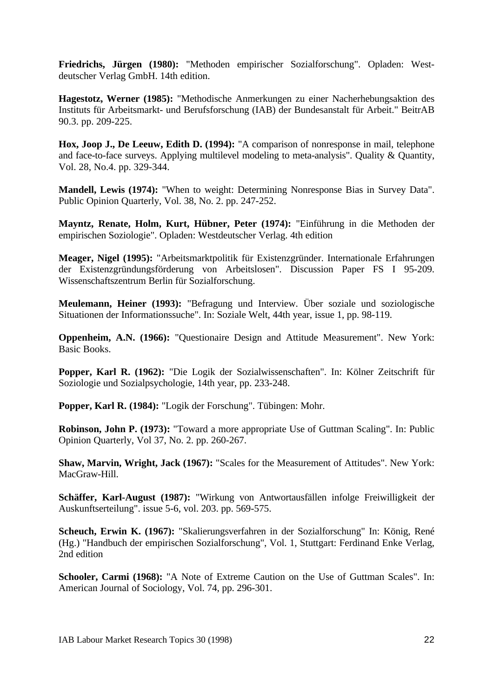**Friedrichs, Jürgen (1980):** "Methoden empirischer Sozialforschung". Opladen: Westdeutscher Verlag GmbH. 14th edition.

**Hagestotz, Werner (1985):** "Methodische Anmerkungen zu einer Nacherhebungsaktion des Instituts für Arbeitsmarkt- und Berufsforschung (IAB) der Bundesanstalt für Arbeit." BeitrAB 90.3. pp. 209-225.

**Hox, Joop J., De Leeuw, Edith D. (1994):** "A comparison of nonresponse in mail, telephone and face-to-face surveys. Applying multilevel modeling to meta-analysis". Quality & Quantity, Vol. 28, No.4. pp. 329-344.

**Mandell, Lewis (1974):** "When to weight: Determining Nonresponse Bias in Survey Data". Public Opinion Quarterly, Vol. 38, No. 2. pp. 247-252.

**Mayntz, Renate, Holm, Kurt, Hübner, Peter (1974):** "Einführung in die Methoden der empirischen Soziologie". Opladen: Westdeutscher Verlag. 4th edition

**Meager, Nigel (1995):** "Arbeitsmarktpolitik für Existenzgründer. Internationale Erfahrungen der Existenzgründungsförderung von Arbeitslosen". Discussion Paper FS I 95-209. Wissenschaftszentrum Berlin für Sozialforschung.

**Meulemann, Heiner (1993):** "Befragung und Interview. Über soziale und soziologische Situationen der Informationssuche". In: Soziale Welt, 44th year, issue 1, pp. 98-119.

**Oppenheim, A.N. (1966):** "Questionaire Design and Attitude Measurement". New York: Basic Books.

**Popper, Karl R. (1962):** "Die Logik der Sozialwissenschaften". In: Kölner Zeitschrift für Soziologie und Sozialpsychologie, 14th year, pp. 233-248.

**Popper, Karl R. (1984):** "Logik der Forschung". Tübingen: Mohr.

**Robinson, John P. (1973):** "Toward a more appropriate Use of Guttman Scaling". In: Public Opinion Quarterly, Vol 37, No. 2. pp. 260-267.

**Shaw, Marvin, Wright, Jack (1967):** "Scales for the Measurement of Attitudes". New York: MacGraw-Hill.

**Schäffer, Karl-August (1987):** "Wirkung von Antwortausfällen infolge Freiwilligkeit der Auskunftserteilung". issue 5-6, vol. 203. pp. 569-575.

**Scheuch, Erwin K. (1967):** "Skalierungsverfahren in der Sozialforschung" In: König, René (Hg.) "Handbuch der empirischen Sozialforschung", Vol. 1, Stuttgart: Ferdinand Enke Verlag, 2nd edition

**Schooler, Carmi (1968):** "A Note of Extreme Caution on the Use of Guttman Scales". In: American Journal of Sociology, Vol. 74, pp. 296-301.